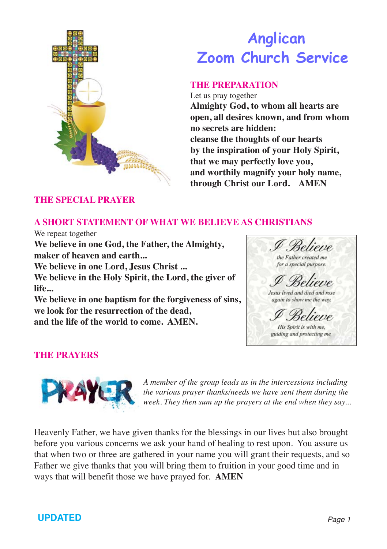

# **Anglican Zoom Church Service**

### **THE PREPARATION**

Let us pray together **Almighty God, to whom all hearts are open, all desires known, and from whom no secrets are hidden: cleanse the thoughts of our hearts by the inspiration of your Holy Spirit, that we may perfectly love you, and worthily magnify your holy name, through Christ our Lord. AMEN**

### **THE SPECIAL PRAYER**

### **A SHORT STATEMENT OF WHAT WE BELIEVE AS CHRISTIANS**

We repeat together

**We believe in one God, the Father, the Almighty, maker of heaven and earth... We believe in one Lord, Jesus Christ ...**

**We believe in the Holy Spirit, the Lord, the giver of life...**

**We believe in one baptism for the forgiveness of sins, we look for the resurrection of the dead, and the life of the world to come. AMEN.**

selvene the Father created me for a special purpose. Jesus lived and died and rose again to show me the way. His Spirit is with me. guiding and protecting me

## **THE PRAYERS**



*A member of the group leads us in the intercessions including the various prayer thanks/needs we have sent them during the week. They then sum up the prayers at the end when they say...*

Heavenly Father, we have given thanks for the blessings in our lives but also brought before you various concerns we ask your hand of healing to rest upon. You assure us that when two or three are gathered in your name you will grant their requests, and so Father we give thanks that you will bring them to fruition in your good time and in ways that will benefit those we have prayed for. **AMEN**

# **UPDATED** *Page 1*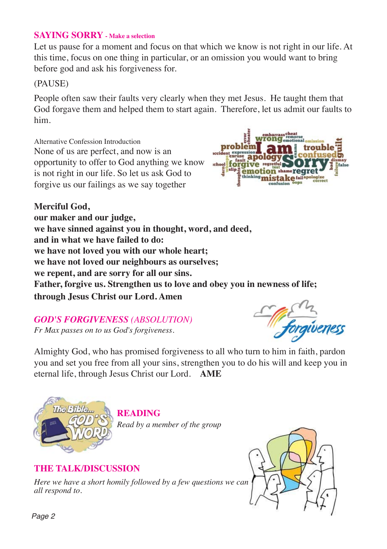### **SAYING SORRY - Make a selection**

Let us pause for a moment and focus on that which we know is not right in our life. At this time, focus on one thing in particular, or an omission you would want to bring before god and ask his forgiveness for.

### (PAUSE)

People often saw their faults very clearly when they met Jesus. He taught them that God forgave them and helped them to start again. Therefore, let us admit our faults to him.

Alternative Confession Introduction None of us are perfect, and now is an opportunity to offer to God anything we know is not right in our life. So let us ask God to forgive us our failings as we say together



**Merciful God, our maker and our judge, we have sinned against you in thought, word, and deed, and in what we have failed to do: we have not loved you with our whole heart; we have not loved our neighbours as ourselves; we repent, and are sorry for all our sins. Father, forgive us. Strengthen us to love and obey you in newness of life; through Jesus Christ our Lord. Amen**

## *GOD'S FORGIVENESS (ABSOLUTION)*

*Fr Max passes on to us God's forgiveness.*



Almighty God, who has promised forgiveness to all who turn to him in faith, pardon you and set you free from all your sins, strengthen you to do his will and keep you in eternal life, through Jesus Christ our Lord. **AME**



**READING**

*Read by a member of the group*

### **THE TALK/DISCUSSION**

*Here we have a short homily followed by a few questions we can all respond to.*

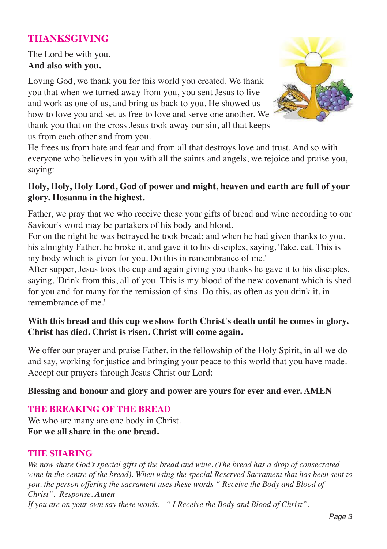# **THANKSGIVING**

The Lord be with you. **And also with you.**

Loving God, we thank you for this world you created. We thank you that when we turned away from you, you sent Jesus to live and work as one of us, and bring us back to you. He showed us how to love you and set us free to love and serve one another. We thank you that on the cross Jesus took away our sin, all that keeps us from each other and from you.



He frees us from hate and fear and from all that destroys love and trust. And so with everyone who believes in you with all the saints and angels, we rejoice and praise you, saying:

### **Holy, Holy, Holy Lord, God of power and might, heaven and earth are full of your glory. Hosanna in the highest.**

Father, we pray that we who receive these your gifts of bread and wine according to our Saviour's word may be partakers of his body and blood.

For on the night he was betrayed he took bread; and when he had given thanks to you, his almighty Father, he broke it, and gave it to his disciples, saying, Take, eat. This is my body which is given for you. Do this in remembrance of me.'

After supper, Jesus took the cup and again giving you thanks he gave it to his disciples, saying, 'Drink from this, all of you. This is my blood of the new covenant which is shed for you and for many for the remission of sins. Do this, as often as you drink it, in remembrance of me.'

### **With this bread and this cup we show forth Christ's death until he comes in glory. Christ has died. Christ is risen. Christ will come again.**

We offer our prayer and praise Father, in the fellowship of the Holy Spirit, in all we do and say, working for justice and bringing your peace to this world that you have made. Accept our prayers through Jesus Christ our Lord:

### **Blessing and honour and glory and power are yours for ever and ever. AMEN**

### **THE BREAKING OF THE BREAD**

We who are many are one body in Christ. **For we all share in the one bread.**

### **THE SHARING**

*We now share God's special gifts of the bread and wine. (The bread has a drop of consecrated wine in the centre of the bread). When using the special Reserved Sacrament that has been sent to you, the person offering the sacrament uses these words " Receive the Body and Blood of Christ". Response. Amen If you are on your own say these words. " I Receive the Body and Blood of Christ".*